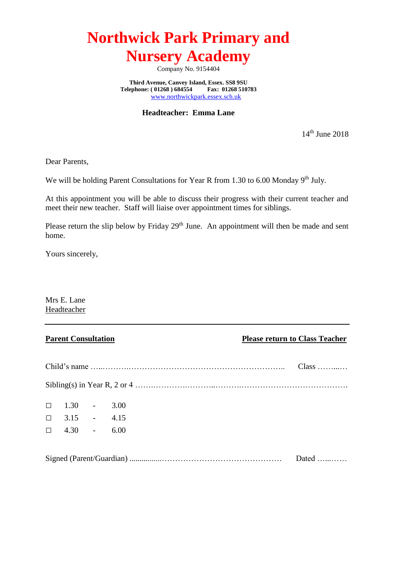Company No. 9154404

**Third Avenue, Canvey Island, Essex. SS8 9SU**<br> **lephone:** (01268) 684554 Fax: 01268 510783 Telephone: (01268) 684554 [www.northwickpark.essex.sch.uk](http://www.northwickpark.essex.sch.uk/)

**Headteacher: Emma Lane**

14th June 2018

Dear Parents,

We will be holding Parent Consultations for Year R from 1.30 to 6.00 Monday 9<sup>th</sup> July.

At this appointment you will be able to discuss their progress with their current teacher and meet their new teacher. Staff will liaise over appointment times for siblings.

Please return the slip below by Friday 29<sup>th</sup> June. An appointment will then be made and sent home.

Yours sincerely,

Mrs E. Lane Headteacher

|                    | $Class$ |  |  |  |
|--------------------|---------|--|--|--|
|                    |         |  |  |  |
| $\Box$ 1.30 - 3.00 |         |  |  |  |
| $\Box$ 3.15 - 4.15 |         |  |  |  |
| $\Box$ 4.30 - 6.00 |         |  |  |  |
|                    |         |  |  |  |
| Dated              |         |  |  |  |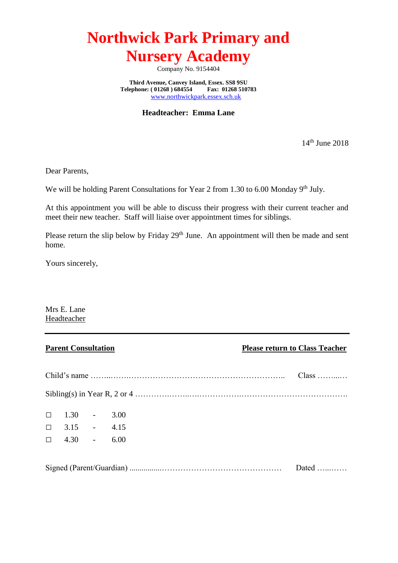Company No. 9154404

**Third Avenue, Canvey Island, Essex. SS8 9SU**<br> **lephone:** (01268) 684554 Fax: 01268 510783 Telephone: (01268) 684554 [www.northwickpark.essex.sch.uk](http://www.northwickpark.essex.sch.uk/)

**Headteacher: Emma Lane**

14<sup>th</sup> June 2018

Dear Parents,

We will be holding Parent Consultations for Year 2 from 1.30 to 6.00 Monday  $9<sup>th</sup>$  July.

At this appointment you will be able to discuss their progress with their current teacher and meet their new teacher. Staff will liaise over appointment times for siblings.

Please return the slip below by Friday 29<sup>th</sup> June. An appointment will then be made and sent home.

Yours sincerely,

Mrs E. Lane Headteacher

|  | $Class$            |  |               |
|--|--------------------|--|---------------|
|  |                    |  |               |
|  | $\Box$ 1.30 - 3.00 |  |               |
|  | $\Box$ 3.15 - 4.15 |  |               |
|  | $\Box$ 4.30 - 6.00 |  |               |
|  |                    |  |               |
|  |                    |  | Dated $\dots$ |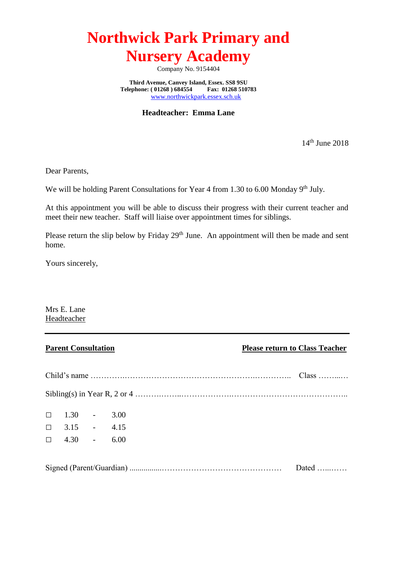Company No. 9154404

**Third Avenue, Canvey Island, Essex. SS8 9SU**<br> **lephone:** (01268) 684554 Fax: 01268 510783 Telephone: (01268) 684554 [www.northwickpark.essex.sch.uk](http://www.northwickpark.essex.sch.uk/)

**Headteacher: Emma Lane**

14<sup>th</sup> June 2018

Dear Parents,

We will be holding Parent Consultations for Year 4 from 1.30 to 6.00 Monday  $9<sup>th</sup>$  July.

At this appointment you will be able to discuss their progress with their current teacher and meet their new teacher. Staff will liaise over appointment times for siblings.

Please return the slip below by Friday 29<sup>th</sup> June. An appointment will then be made and sent home.

Yours sincerely,

Mrs E. Lane Headteacher

|       | $\Box$ 1.30 - 3.00 |  |  |  |
|-------|--------------------|--|--|--|
|       | $\Box$ 3.15 - 4.15 |  |  |  |
|       | $\Box$ 4.30 - 6.00 |  |  |  |
|       |                    |  |  |  |
| Dated |                    |  |  |  |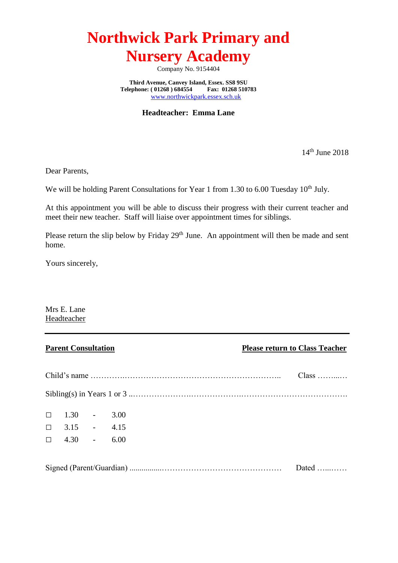Company No. 9154404

**Third Avenue, Canvey Island, Essex. SS8 9SU**<br> **lephone:** (01268) 684554 Fax: 01268 510783 Telephone: (01268) 684554 [www.northwickpark.essex.sch.uk](http://www.northwickpark.essex.sch.uk/)

**Headteacher: Emma Lane**

14th June 2018

Dear Parents,

We will be holding Parent Consultations for Year 1 from 1.30 to 6.00 Tuesday  $10^{th}$  July.

At this appointment you will be able to discuss their progress with their current teacher and meet their new teacher. Staff will liaise over appointment times for siblings.

Please return the slip below by Friday 29<sup>th</sup> June. An appointment will then be made and sent home.

Yours sincerely,

Mrs E. Lane Headteacher

|                    | $Class$ |       |
|--------------------|---------|-------|
|                    |         |       |
| $\Box$ 1.30 - 3.00 |         |       |
| $\Box$ 3.15 - 4.15 |         |       |
| $\Box$ 4.30 - 6.00 |         |       |
|                    |         |       |
|                    |         | Dated |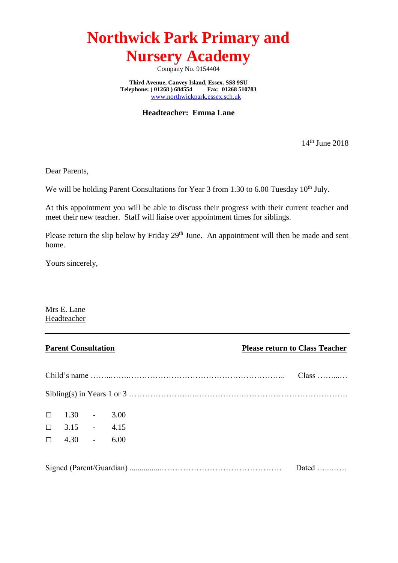Company No. 9154404

**Third Avenue, Canvey Island, Essex. SS8 9SU**<br> **lephone:** (01268) 684554 Fax: 01268 510783 Telephone: (01268) 684554 [www.northwickpark.essex.sch.uk](http://www.northwickpark.essex.sch.uk/)

**Headteacher: Emma Lane**

14<sup>th</sup> June 2018

Dear Parents,

We will be holding Parent Consultations for Year 3 from 1.30 to 6.00 Tuesday  $10^{th}$  July.

At this appointment you will be able to discuss their progress with their current teacher and meet their new teacher. Staff will liaise over appointment times for siblings.

Please return the slip below by Friday 29<sup>th</sup> June. An appointment will then be made and sent home.

Yours sincerely,

Mrs E. Lane Headteacher

|  | $Class$            |  |       |
|--|--------------------|--|-------|
|  |                    |  |       |
|  | $\Box$ 1.30 - 3.00 |  |       |
|  | $\Box$ 3.15 - 4.15 |  |       |
|  | $\Box$ 4.30 - 6.00 |  |       |
|  |                    |  |       |
|  |                    |  | Dated |